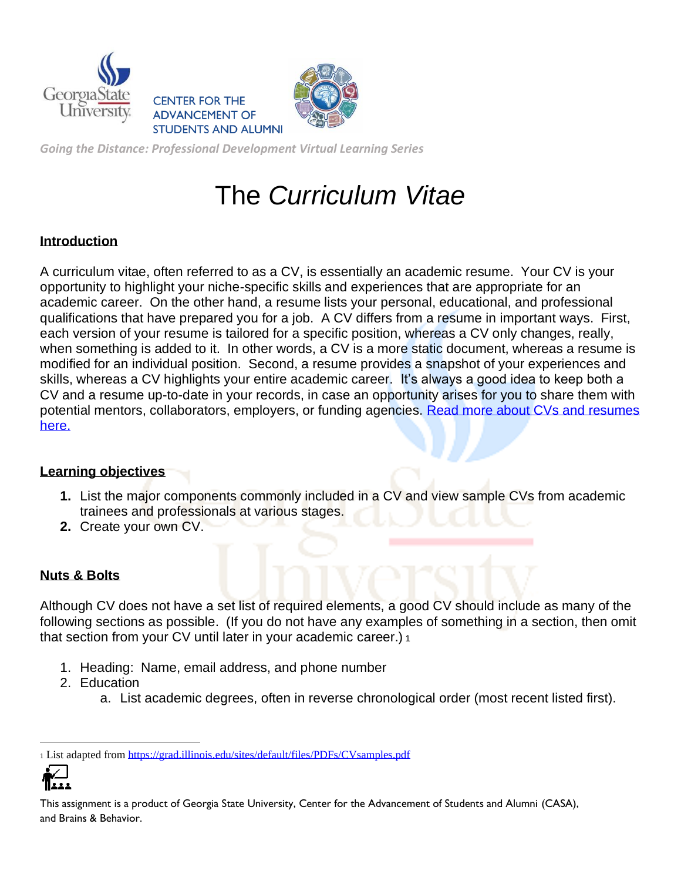





*Going the Distance: Professional Development Virtual Learning Series*

# The *Curriculum Vitae*

## **Introduction**

A curriculum vitae, often referred to as a CV, is essentially an academic resume. Your CV is your opportunity to highlight your niche-specific skills and experiences that are appropriate for an academic career. On the other hand, a resume lists your personal, educational, and professional qualifications that have prepared you for a job. A CV differs from a resume in important ways. First, each version of your resume is tailored for a specific position, whereas a CV only changes, really, when something is added to it. In other words, a CV is a more static document, whereas a resume is modified for an individual position. Second, a resume provides a snapshot of your experiences and skills, whereas a CV highlights your entire academic career. It's always a good idea to keep both a CV and a resume up-to-date in your records, in case an opportunity arises for you to share them with potential mentors, collaborators, employers, or funding agencies. Read more about CVs and resumes [here.](https://mygsu-my.sharepoint.com/:p:/g/personal/kfrantz_gsu_edu/EY--IzSBQMdGmpFOzzhNeOwBzQsyAB3xBzZ5ISQI_vTbow?e=NaXV1k)

## **Learning objectives**

- **1.** List the major components commonly included in a CV and view sample CVs from academic trainees and professionals at various stages.
- **2.** Create your own CV.

## **Nuts & Bolts**

Although CV does not have a set list of required elements, a good CV should include as many of the following sections as possible. (If you do not have any examples of something in a section, then omit that section from your CV until later in your academic career.) 1

- 1. Heading: Name, email address, and phone number
- 2. Education
	- a. List academic degrees, often in reverse chronological order (most recent listed first).

<sup>1</sup> List adapted from<https://grad.illinois.edu/sites/default/files/PDFs/CVsamples.pdf>



This assignment is a product of Georgia State University, Center for the Advancement of Students and Alumni (CASA), and Brains & Behavior.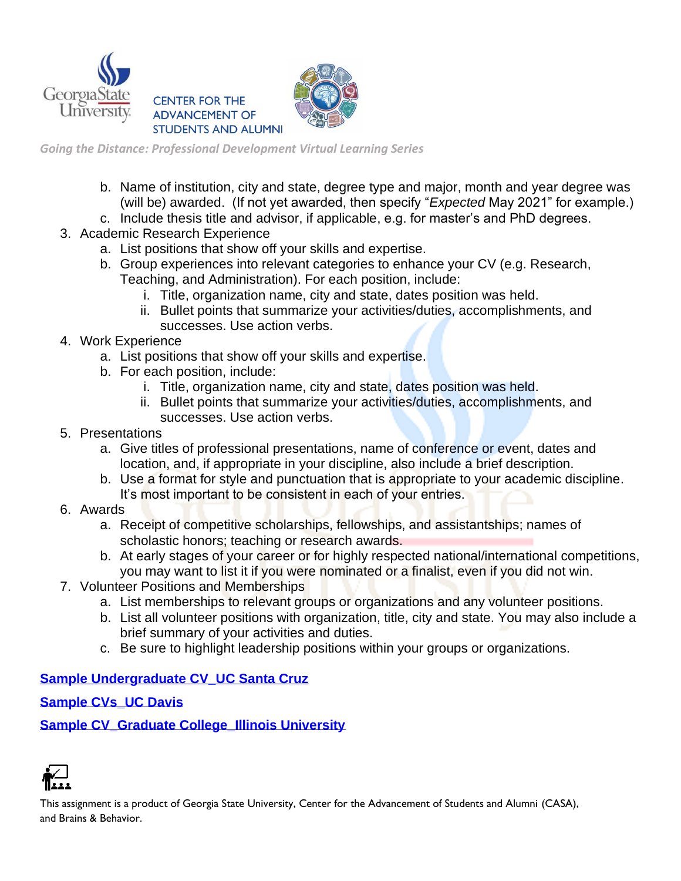



*Going the Distance: Professional Development Virtual Learning Series*

- b. Name of institution, city and state, degree type and major, month and year degree was (will be) awarded. (If not yet awarded, then specify "*Expected* May 2021" for example.)
- c. Include thesis title and advisor, if applicable, e.g. for master's and PhD degrees.
- 3. Academic Research Experience
	- a. List positions that show off your skills and expertise.
	- b. Group experiences into relevant categories to enhance your CV (e.g. Research, Teaching, and Administration). For each position, include:
		- i. Title, organization name, city and state, dates position was held.
		- ii. Bullet points that summarize your activities/duties, accomplishments, and successes. Use action verbs.
- 4. Work Experience
	- a. List positions that show off your skills and expertise.
	- b. For each position, include:
		- i. Title, organization name, city and state, dates position was held.
		- ii. Bullet points that summarize your activities/duties, accomplishments, and successes. Use action verbs.
- 5. Presentations
	- a. Give titles of professional presentations, name of conference or event, dates and location, and, if appropriate in your discipline, also include a brief description.
	- b. Use a format for style and punctuation that is appropriate to your academic discipline. It's most important to be consistent in each of your entries.
- 6. Awards
	- a. Receipt of competitive scholarships, fellowships, and assistantships; names of scholastic honors; teaching or research awards.
	- b. At early stages of your career or for highly respected national/international competitions. you may want to list it if you were nominated or a finalist, even if you did not win.
- 7. Volunteer Positions and Memberships
	- a. List memberships to relevant groups or organizations and any volunteer positions.
	- b. List all volunteer positions with organization, title, city and state. You may also include a brief summary of your activities and duties.
	- c. Be sure to highlight leadership positions within your groups or organizations.

### **[Sample Undergraduate CV\\_UC Santa Cruz](https://careers.ucsc.edu/student/resources/handouts/curriculum-vitae-undergrad-guide.pdf)**

### **[Sample CVs\\_UC Davis](https://icc.ucdavis.edu/materials/resume/samples)**

**[Sample CV\\_Graduate College\\_Illinois University](https://grad.illinois.edu/sites/default/files/PDFs/CVsamples.pdf)**



This assignment is a product of Georgia State University, Center for the Advancement of Students and Alumni (CASA), and Brains & Behavior.